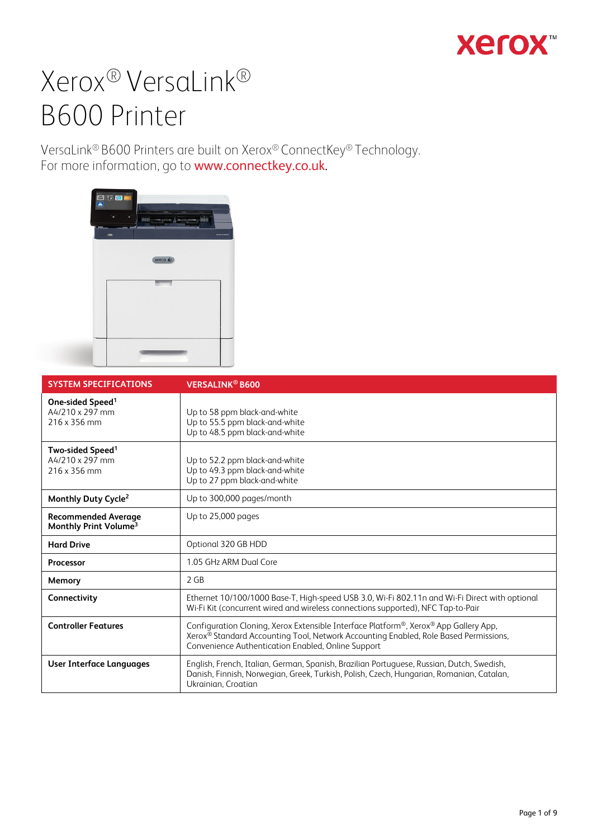## **Xerox**

# Xerox® VersaLink® B600 Printer

VersaLink® B600 Printers are built on Xerox® ConnectKey® Technology. For more information, go to [www.connectkey.co.uk](http://www.connectkey.co.uk/)[.](http://www.connectkey.com/)



| <b>SYSTEM SPECIFICATIONS</b>                                    | <b>VERSALINK<sup>®</sup> B600</b>                                                                                                                                                                                                              |
|-----------------------------------------------------------------|------------------------------------------------------------------------------------------------------------------------------------------------------------------------------------------------------------------------------------------------|
| One-sided Speed <sup>1</sup><br>A4/210 x 297 mm<br>216 x 356 mm | Up to 58 ppm black-and-white<br>Up to 55.5 ppm black-and-white<br>Up to 48.5 ppm black-and-white                                                                                                                                               |
| Two-sided Speed <sup>1</sup><br>A4/210 x 297 mm<br>216 x 356 mm | Up to 52.2 ppm black-and-white<br>Up to 49.3 ppm black-and-white<br>Up to 27 ppm black-and-white                                                                                                                                               |
| Monthly Duty Cycle <sup>2</sup>                                 | Up to 300,000 pages/month                                                                                                                                                                                                                      |
| <b>Recommended Average</b><br>Monthly Print Volume <sup>3</sup> | Up to 25,000 pages                                                                                                                                                                                                                             |
| <b>Hard Drive</b>                                               | Optional 320 GB HDD                                                                                                                                                                                                                            |
| Processor                                                       | 1.05 GHz ARM Dual Core                                                                                                                                                                                                                         |
| Memory                                                          | 2 GB                                                                                                                                                                                                                                           |
| Connectivity                                                    | Ethernet 10/100/1000 Base-T, High-speed USB 3.0, Wi-Fi 802.11n and Wi-Fi Direct with optional<br>Wi-Fi Kit (concurrent wired and wireless connections supported), NFC Tap-to-Pair                                                              |
| <b>Controller Features</b>                                      | Configuration Cloning, Xerox Extensible Interface Platform®, Xerox® App Gallery App,<br>Xerox <sup>®</sup> Standard Accounting Tool, Network Accounting Enabled, Role Based Permissions,<br>Convenience Authentication Enabled, Online Support |
| User Interface Languages                                        | English, French, Italian, German, Spanish, Brazilian Portuguese, Russian, Dutch, Swedish,<br>Danish, Finnish, Norwegian, Greek, Turkish, Polish, Czech, Hungarian, Romanian, Catalan,<br>Ukrainian, Croatian                                   |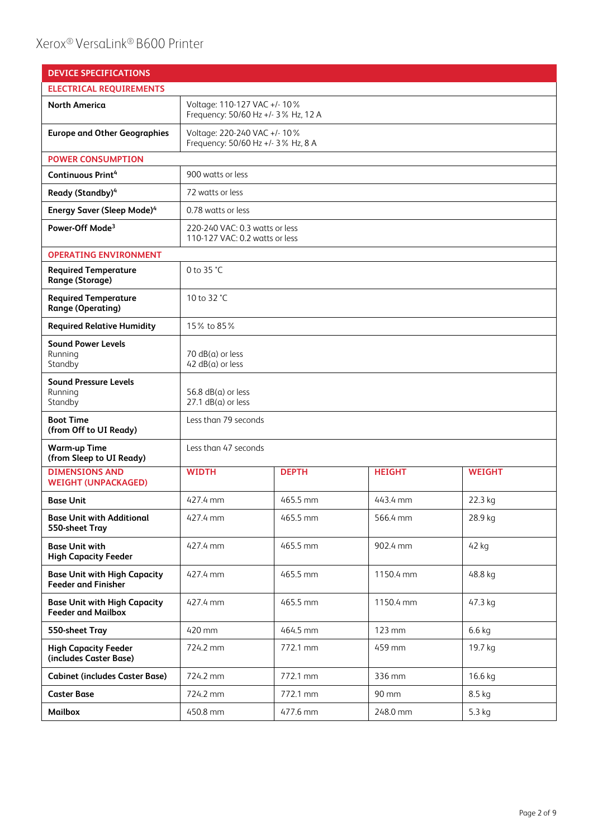| <b>DEVICE SPECIFICATIONS</b>                                      |                                                                     |              |               |               |
|-------------------------------------------------------------------|---------------------------------------------------------------------|--------------|---------------|---------------|
| <b>ELECTRICAL REQUIREMENTS</b>                                    |                                                                     |              |               |               |
| <b>North America</b>                                              | Voltage: 110-127 VAC +/- 10%<br>Frequency: 50/60 Hz +/- 3% Hz, 12 A |              |               |               |
| <b>Europe and Other Geographies</b>                               | Voltage: 220-240 VAC +/- 10%<br>Frequency: 50/60 Hz +/- 3% Hz, 8 A  |              |               |               |
| <b>POWER CONSUMPTION</b>                                          |                                                                     |              |               |               |
| Continuous Print <sup>4</sup>                                     | 900 watts or less                                                   |              |               |               |
| Ready (Standby) <sup>4</sup>                                      | 72 watts or less                                                    |              |               |               |
| <b>Energy Saver (Sleep Mode)4</b>                                 | 0.78 watts or less                                                  |              |               |               |
| Power-Off Mode <sup>3</sup>                                       | 220-240 VAC: 0.3 watts or less<br>110-127 VAC: 0.2 watts or less    |              |               |               |
| <b>OPERATING ENVIRONMENT</b>                                      |                                                                     |              |               |               |
| <b>Required Temperature</b><br>Range (Storage)                    | 0 to 35 °C                                                          |              |               |               |
| <b>Required Temperature</b><br><b>Range (Operating)</b>           | 10 to 32 °C                                                         |              |               |               |
| <b>Required Relative Humidity</b>                                 | 15% to 85%                                                          |              |               |               |
| <b>Sound Power Levels</b><br>Running<br>Standby                   | 70 $dB(a)$ or less<br>$42 dB(a)$ or less                            |              |               |               |
| <b>Sound Pressure Levels</b><br>Running<br>Standby                | 56.8 $dB(a)$ or less<br>$27.1$ dB( $a$ ) or less                    |              |               |               |
| <b>Boot Time</b><br>(from Off to UI Ready)                        | Less than 79 seconds                                                |              |               |               |
| <b>Warm-up Time</b><br>(from Sleep to UI Ready)                   | Less than 47 seconds                                                |              |               |               |
| <b>DIMENSIONS AND</b><br><b>WEIGHT (UNPACKAGED)</b>               | <b>WIDTH</b>                                                        | <b>DEPTH</b> | <b>HEIGHT</b> | <b>WEIGHT</b> |
| <b>Base Unit</b>                                                  | 427.4 mm                                                            | 465.5 mm     | 443.4 mm      | 22.3 kg       |
| <b>Base Unit with Additional</b><br>550-sheet Tray                | 427.4 mm                                                            | 465.5 mm     | 566.4 mm      | 28.9 kg       |
| <b>Base Unit with</b><br><b>High Capacity Feeder</b>              | 427.4 mm                                                            | 465.5 mm     | 902.4 mm      | 42 kg         |
| <b>Base Unit with High Capacity</b><br><b>Feeder and Finisher</b> | 427.4 mm                                                            | 465.5 mm     | 1150.4 mm     | 48.8 kg       |
| <b>Base Unit with High Capacity</b><br><b>Feeder and Mailbox</b>  | 427.4 mm                                                            | 465.5 mm     | 1150.4 mm     | 47.3 kg       |
| 550-sheet Tray                                                    | 420 mm                                                              | 464.5 mm     | 123 mm        | $6.6$ kg      |
| <b>High Capacity Feeder</b><br>(includes Caster Base)             | 724.2 mm                                                            | 772.1 mm     | 459 mm        | 19.7 kg       |
| <b>Cabinet (includes Caster Base)</b>                             | 724.2 mm                                                            | 772.1 mm     | 336 mm        | 16.6 kg       |
| <b>Caster Base</b>                                                | 724.2 mm                                                            | 772.1 mm     | 90 mm         | 8.5 kg        |
| Mailbox                                                           | 450.8 mm                                                            | 477.6 mm     | 248.0 mm      | 5.3 kg        |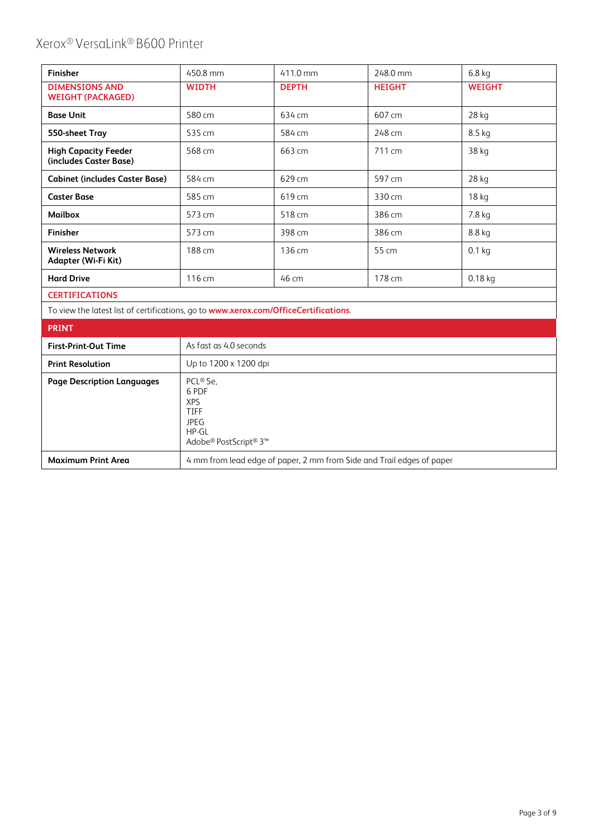| Finisher                                                                             | 450.8 mm                                       | 411.0 mm     | 248.0 mm      | 6.8 <sub>kq</sub> |
|--------------------------------------------------------------------------------------|------------------------------------------------|--------------|---------------|-------------------|
| <b>DIMENSIONS AND</b><br><b>WEIGHT (PACKAGED)</b>                                    | <b>WIDTH</b>                                   | <b>DEPTH</b> | <b>HEIGHT</b> | <b>WEIGHT</b>     |
| <b>Base Unit</b>                                                                     | 580 cm                                         | 634 cm       | 607 cm        | 28 kg             |
| 550-sheet Tray                                                                       | 535 cm                                         | 584 cm       | 248 cm        | 8.5 kg            |
| <b>High Capacity Feeder</b><br>(includes Caster Base)                                | 568 cm                                         | 663 cm       | 711 cm        | 38 kg             |
| <b>Cabinet (includes Caster Base)</b>                                                | 584 cm                                         | 629 cm       | 597 cm        | 28 kg             |
| <b>Caster Base</b>                                                                   | 585 cm                                         | 619 cm       | 330 cm        | 18 kg             |
| <b>Mailbox</b>                                                                       | 573 cm                                         | 518 cm       | 386 cm        | 7.8 kg            |
| <b>Finisher</b>                                                                      | 573 cm                                         | 398 cm       | 386 cm        | 8.8 kg            |
| <b>Wireless Network</b><br>Adapter (Wi-Fi Kit)                                       | 188 cm                                         | 136 cm       | 55 cm         | $0.1$ kg          |
| <b>Hard Drive</b>                                                                    | 116 cm                                         | 46 cm        | 178 cm        | $0.18$ kg         |
| <b>CERTIFICATIONS</b>                                                                |                                                |              |               |                   |
| To view the latest list of certifications, go to www.xerox.com/OfficeCertifications. |                                                |              |               |                   |
| <b>PRINT</b>                                                                         |                                                |              |               |                   |
| <b>First-Print-Out Time</b>                                                          | As fast as 4.0 seconds                         |              |               |                   |
| <b>Print Resolution</b>                                                              | Up to 1200 x 1200 dpi                          |              |               |                   |
| <b>Page Description Languages</b>                                                    | PCL® 5e.<br>6 PDF<br><b>XPS</b><br><b>TIFF</b> |              |               |                   |

| <b>Maximum Print Area</b> | 4 mm from lead edge of paper, 2 mm from Side and Trail edges of paper |
|---------------------------|-----------------------------------------------------------------------|

JPEG HP-GL

Adobe® PostScript® 3™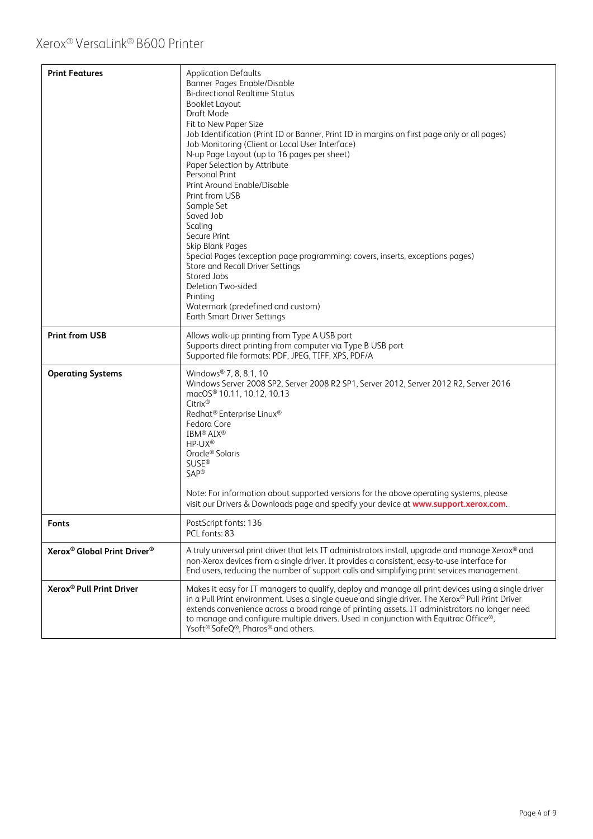| <b>Print Features</b>                               | <b>Application Defaults</b><br>Banner Pages Enable/Disable<br><b>Bi-directional Realtime Status</b><br>Booklet Layout<br>Draft Mode<br>Fit to New Paper Size<br>Job Identification (Print ID or Banner, Print ID in margins on first page only or all pages)<br>Job Monitoring (Client or Local User Interface)<br>N-up Page Layout (up to 16 pages per sheet)<br>Paper Selection by Attribute<br><b>Personal Print</b><br>Print Around Enable/Disable<br>Print from USB<br>Sample Set<br>Saved Job<br>Scaling<br>Secure Print<br>Skip Blank Pages<br>Special Pages (exception page programming: covers, inserts, exceptions pages)<br>Store and Recall Driver Settings<br>Stored Jobs<br>Deletion Two-sided<br>Printing<br>Watermark (predefined and custom)<br><b>Earth Smart Driver Settings</b> |
|-----------------------------------------------------|-----------------------------------------------------------------------------------------------------------------------------------------------------------------------------------------------------------------------------------------------------------------------------------------------------------------------------------------------------------------------------------------------------------------------------------------------------------------------------------------------------------------------------------------------------------------------------------------------------------------------------------------------------------------------------------------------------------------------------------------------------------------------------------------------------|
| <b>Print from USB</b>                               | Allows walk-up printing from Type A USB port<br>Supports direct printing from computer via Type B USB port<br>Supported file formats: PDF, JPEG, TIFF, XPS, PDF/A                                                                                                                                                                                                                                                                                                                                                                                                                                                                                                                                                                                                                                   |
| <b>Operating Systems</b>                            | Windows® 7, 8, 8.1, 10<br>Windows Server 2008 SP2, Server 2008 R2 SP1, Server 2012, Server 2012 R2, Server 2016<br>macOS <sup>®</sup> 10.11, 10.12, 10.13<br>Citrix®<br>Redhat <sup>®</sup> Enterprise Linux <sup>®</sup><br>Fedora Core<br>IBM <sup>®</sup> AIX <sup>®</sup><br>HP-UX <sup>®</sup><br>Oracle <sup>®</sup> Solaris<br><b>SUSE®</b><br><b>SAP®</b><br>Note: For information about supported versions for the above operating systems, please<br>visit our Drivers & Downloads page and specify your device at www.support.xerox.com.                                                                                                                                                                                                                                                 |
| <b>Fonts</b>                                        | PostScript fonts: 136<br>PCL fonts: 83                                                                                                                                                                                                                                                                                                                                                                                                                                                                                                                                                                                                                                                                                                                                                              |
| Xerox <sup>®</sup> Global Print Driver <sup>®</sup> | A truly universal print driver that lets IT administrators install, upgrade and manage Xerox® and<br>non-Xerox devices from a single driver. It provides a consistent, easy-to-use interface for<br>End users, reducing the number of support calls and simplifying print services management.                                                                                                                                                                                                                                                                                                                                                                                                                                                                                                      |
| Xerox <sup>®</sup> Pull Print Driver                | Makes it easy for IT managers to qualify, deploy and manage all print devices using a single driver<br>in a Pull Print environment. Uses a single queue and single driver. The Xerox® Pull Print Driver<br>extends convenience across a broad range of printing assets. IT administrators no longer need<br>to manage and configure multiple drivers. Used in conjunction with Equitrac Office®,<br>Ysoft <sup>®</sup> SafeQ®, Pharos® and others.                                                                                                                                                                                                                                                                                                                                                  |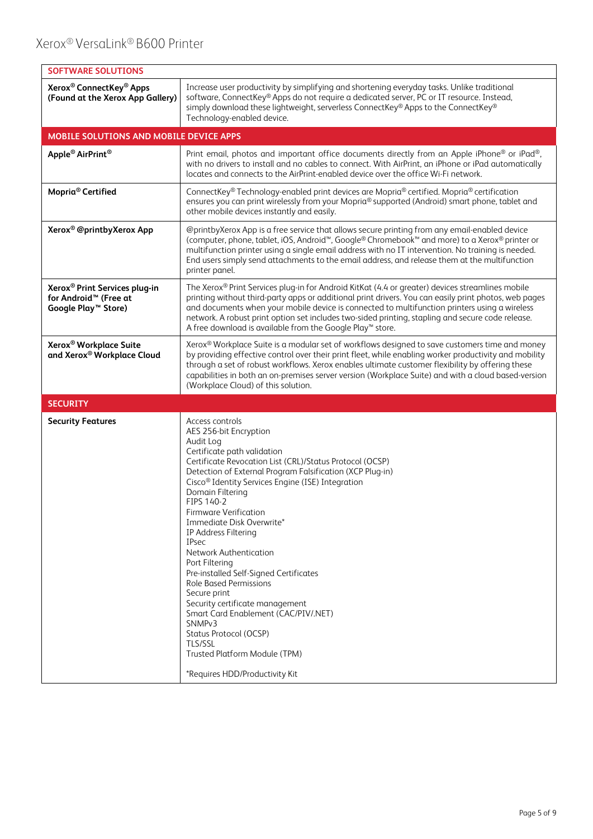| <b>SOFTWARE SOLUTIONS</b>                                                                                         |                                                                                                                                                                                                                                                                                                                                                                                                                                                                                                                                                                                                                                                                                                                                                                 |
|-------------------------------------------------------------------------------------------------------------------|-----------------------------------------------------------------------------------------------------------------------------------------------------------------------------------------------------------------------------------------------------------------------------------------------------------------------------------------------------------------------------------------------------------------------------------------------------------------------------------------------------------------------------------------------------------------------------------------------------------------------------------------------------------------------------------------------------------------------------------------------------------------|
| Xerox <sup>®</sup> ConnectKey <sup>®</sup> Apps<br>(Found at the Xerox App Gallery)                               | Increase user productivity by simplifying and shortening everyday tasks. Unlike traditional<br>software, ConnectKey® Apps do not require a dedicated server, PC or IT resource. Instead,<br>simply download these lightweight, serverless ConnectKey® Apps to the ConnectKey®<br>Technology-enabled device.                                                                                                                                                                                                                                                                                                                                                                                                                                                     |
| MOBILE SOLUTIONS AND MOBILE DEVICE APPS                                                                           |                                                                                                                                                                                                                                                                                                                                                                                                                                                                                                                                                                                                                                                                                                                                                                 |
| Apple <sup>®</sup> AirPrint <sup>®</sup>                                                                          | Print email, photos and important office documents directly from an Apple iPhone® or iPad®,<br>with no drivers to install and no cables to connect. With AirPrint, an iPhone or iPad automatically<br>locates and connects to the AirPrint-enabled device over the office Wi-Fi network.                                                                                                                                                                                                                                                                                                                                                                                                                                                                        |
| Mopria <sup>®</sup> Certified                                                                                     | ConnectKey® Technology-enabled print devices are Mopria® certified. Mopria® certification<br>ensures you can print wirelessly from your Mopria® supported (Android) smart phone, tablet and<br>other mobile devices instantly and easily.                                                                                                                                                                                                                                                                                                                                                                                                                                                                                                                       |
| Xerox <sup>®</sup> @printbyXerox App                                                                              | @printbyXerox App is a free service that allows secure printing from any email-enabled device<br>(computer, phone, tablet, iOS, Android <sup>™</sup> , Google® Chromebook™ and more) to a Xerox® printer or<br>multifunction printer using a single email address with no IT intervention. No training is needed.<br>End users simply send attachments to the email address, and release them at the multifunction<br>printer panel.                                                                                                                                                                                                                                                                                                                            |
| Xerox <sup>®</sup> Print Services plug-in<br>for Android <sup>™</sup> (Free at<br>Google Play <sup>™</sup> Store) | The Xerox® Print Services plug-in for Android KitKat (4.4 or greater) devices streamlines mobile<br>printing without third-party apps or additional print drivers. You can easily print photos, web pages<br>and documents when your mobile device is connected to multifunction printers using a wireless<br>network. A robust print option set includes two-sided printing, stapling and secure code release.<br>A free download is available from the Google Play™ store.                                                                                                                                                                                                                                                                                    |
| Xerox <sup>®</sup> Workplace Suite<br>and Xerox® Workplace Cloud                                                  | Xerox® Workplace Suite is a modular set of workflows designed to save customers time and money<br>by providing effective control over their print fleet, while enabling worker productivity and mobility<br>through a set of robust workflows. Xerox enables ultimate customer flexibility by offering these<br>capabilities in both an on-premises server version (Workplace Suite) and with a cloud based-version<br>(Workplace Cloud) of this solution.                                                                                                                                                                                                                                                                                                      |
| <b>SECURITY</b>                                                                                                   |                                                                                                                                                                                                                                                                                                                                                                                                                                                                                                                                                                                                                                                                                                                                                                 |
| <b>Security Features</b>                                                                                          | Access controls<br>AES 256-bit Encryption<br>Audit Log<br>Certificate path validation<br>Certificate Revocation List (CRL)/Status Protocol (OCSP)<br>Detection of External Program Falsification (XCP Plug-in)<br>Cisco <sup>®</sup> Identity Services Engine (ISE) Integration<br>Domain Filtering<br>FIPS 140-2<br>Firmware Verification<br>Immediate Disk Overwrite*<br>IP Address Filtering<br><b>IPsec</b><br>Network Authentication<br>Port Filtering<br>Pre-installed Self-Signed Certificates<br><b>Role Based Permissions</b><br>Secure print<br>Security certificate management<br>Smart Card Enablement (CAC/PIV/.NET)<br>SNMP <sub>v3</sub><br>Status Protocol (OCSP)<br>TLS/SSL<br>Trusted Platform Module (TPM)<br>*Requires HDD/Productivity Kit |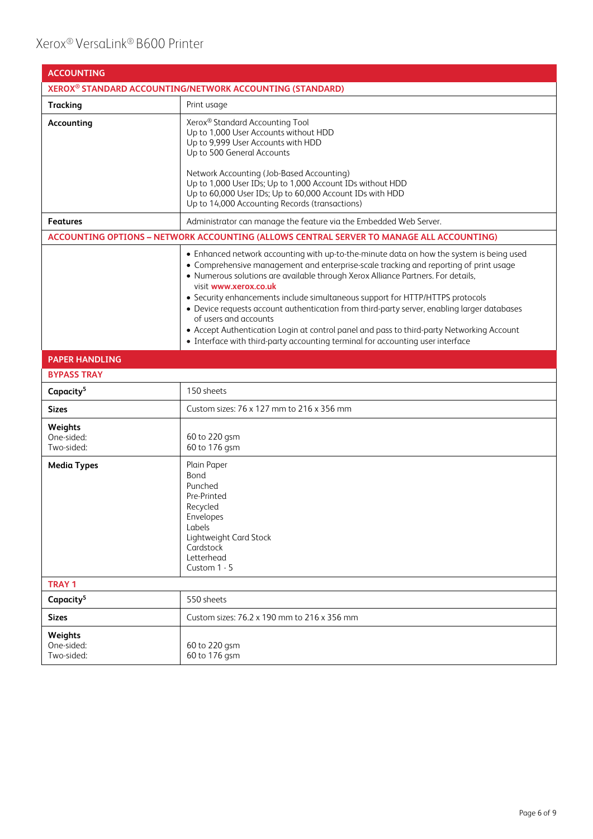| <b>ACCOUNTING</b>                   |                                                                                                                                                                                                                                                                                                                                                                                                                                                                                                                                                                                                                                                                                        |
|-------------------------------------|----------------------------------------------------------------------------------------------------------------------------------------------------------------------------------------------------------------------------------------------------------------------------------------------------------------------------------------------------------------------------------------------------------------------------------------------------------------------------------------------------------------------------------------------------------------------------------------------------------------------------------------------------------------------------------------|
|                                     | XEROX <sup>®</sup> STANDARD ACCOUNTING/NETWORK ACCOUNTING (STANDARD)                                                                                                                                                                                                                                                                                                                                                                                                                                                                                                                                                                                                                   |
| <b>Tracking</b>                     | Print usage                                                                                                                                                                                                                                                                                                                                                                                                                                                                                                                                                                                                                                                                            |
| Accounting                          | Xerox <sup>®</sup> Standard Accounting Tool<br>Up to 1,000 User Accounts without HDD<br>Up to 9,999 User Accounts with HDD<br>Up to 500 General Accounts<br>Network Accounting (Job-Based Accounting)<br>Up to 1,000 User IDs; Up to 1,000 Account IDs without HDD<br>Up to 60,000 User IDs; Up to 60,000 Account IDs with HDD<br>Up to 14,000 Accounting Records (transactions)                                                                                                                                                                                                                                                                                                       |
| <b>Features</b>                     | Administrator can manage the feature via the Embedded Web Server.                                                                                                                                                                                                                                                                                                                                                                                                                                                                                                                                                                                                                      |
|                                     | ACCOUNTING OPTIONS - NETWORK ACCOUNTING (ALLOWS CENTRAL SERVER TO MANAGE ALL ACCOUNTING)                                                                                                                                                                                                                                                                                                                                                                                                                                                                                                                                                                                               |
|                                     | • Enhanced network accounting with up-to-the-minute data on how the system is being used<br>• Comprehensive management and enterprise-scale tracking and reporting of print usage<br>• Numerous solutions are available through Xerox Alliance Partners. For details,<br>visit www.xerox.co.uk<br>• Security enhancements include simultaneous support for HTTP/HTTPS protocols<br>• Device requests account authentication from third-party server, enabling larger databases<br>of users and accounts<br>• Accept Authentication Login at control panel and pass to third-party Networking Account<br>• Interface with third-party accounting terminal for accounting user interface |
| <b>PAPER HANDLING</b>               |                                                                                                                                                                                                                                                                                                                                                                                                                                                                                                                                                                                                                                                                                        |
| <b>BYPASS TRAY</b>                  |                                                                                                                                                                                                                                                                                                                                                                                                                                                                                                                                                                                                                                                                                        |
| Capacity <sup>5</sup>               | 150 sheets                                                                                                                                                                                                                                                                                                                                                                                                                                                                                                                                                                                                                                                                             |
| <b>Sizes</b>                        | Custom sizes: 76 x 127 mm to 216 x 356 mm                                                                                                                                                                                                                                                                                                                                                                                                                                                                                                                                                                                                                                              |
| Weights<br>One-sided:<br>Two-sided: | 60 to 220 gsm<br>60 to 176 gsm                                                                                                                                                                                                                                                                                                                                                                                                                                                                                                                                                                                                                                                         |
| <b>Media Types</b>                  | Plain Paper<br>Bond<br>Punched<br>Pre-Printed<br>Recycled<br>Envelopes<br>Labels<br>Lightweight Card Stock<br>Cardstock<br>Letterhead<br>Custom 1 - 5                                                                                                                                                                                                                                                                                                                                                                                                                                                                                                                                  |
| <b>TRAY 1</b>                       |                                                                                                                                                                                                                                                                                                                                                                                                                                                                                                                                                                                                                                                                                        |
| Capacity <sup>5</sup>               | 550 sheets                                                                                                                                                                                                                                                                                                                                                                                                                                                                                                                                                                                                                                                                             |
| <b>Sizes</b>                        | Custom sizes: 76.2 x 190 mm to 216 x 356 mm                                                                                                                                                                                                                                                                                                                                                                                                                                                                                                                                                                                                                                            |
| Weights<br>One-sided:<br>Two-sided: | 60 to 220 gsm<br>60 to 176 gsm                                                                                                                                                                                                                                                                                                                                                                                                                                                                                                                                                                                                                                                         |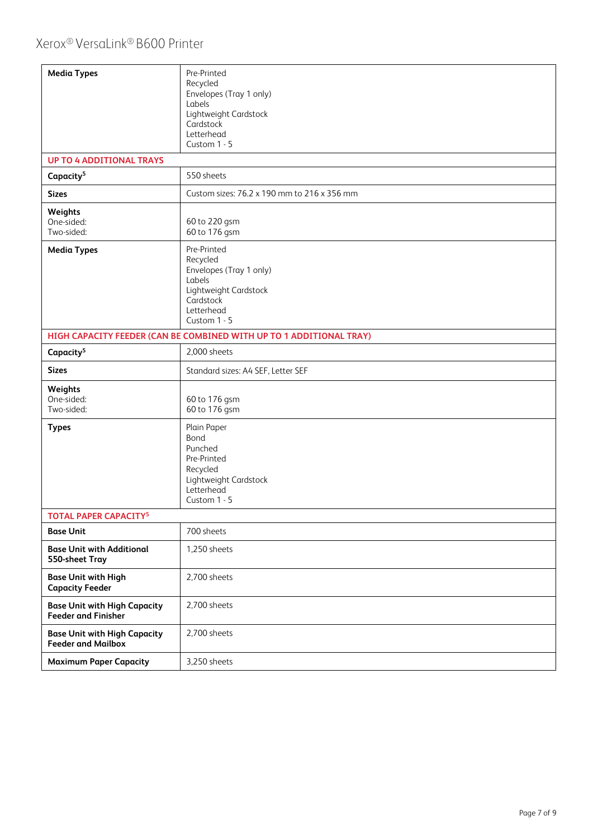| <b>Media Types</b>                                                | Pre-Printed<br>Recycled<br>Envelopes (Tray 1 only)<br>Labels<br>Lightweight Cardstock<br>Cardstock<br>Letterhead<br>Custom 1 - 5 |
|-------------------------------------------------------------------|----------------------------------------------------------------------------------------------------------------------------------|
| <b>UP TO 4 ADDITIONAL TRAYS</b>                                   |                                                                                                                                  |
| Capacity <sup>5</sup>                                             | 550 sheets                                                                                                                       |
| <b>Sizes</b>                                                      | Custom sizes: 76.2 x 190 mm to 216 x 356 mm                                                                                      |
| Weights<br>One-sided:<br>Two-sided:                               | 60 to 220 gsm<br>60 to 176 gsm                                                                                                   |
| <b>Media Types</b>                                                | Pre-Printed<br>Recycled<br>Envelopes (Tray 1 only)<br>Labels<br>Lightweight Cardstock<br>Cardstock<br>Letterhead<br>Custom 1 - 5 |
|                                                                   | HIGH CAPACITY FEEDER (CAN BE COMBINED WITH UP TO 1 ADDITIONAL TRAY)                                                              |
| Capacity <sup>5</sup>                                             | 2,000 sheets                                                                                                                     |
| <b>Sizes</b>                                                      | Standard sizes: A4 SEF, Letter SEF                                                                                               |
| Weights<br>One-sided:<br>Two-sided:                               | 60 to 176 gsm<br>60 to 176 gsm                                                                                                   |
| <b>Types</b>                                                      | Plain Paper<br>Bond<br>Punched<br>Pre-Printed<br>Recycled<br>Lightweight Cardstock<br>Letterhead<br>Custom 1 - 5                 |
| <b>TOTAL PAPER CAPACITY<sup>5</sup></b>                           |                                                                                                                                  |
| <b>Base Unit</b>                                                  | 700 sheets                                                                                                                       |
| <b>Base Unit with Additional</b><br>550-sheet Tray                | 1,250 sheets                                                                                                                     |
| <b>Base Unit with High</b><br><b>Capacity Feeder</b>              | 2,700 sheets                                                                                                                     |
| <b>Base Unit with High Capacity</b><br><b>Feeder and Finisher</b> | 2,700 sheets                                                                                                                     |
| <b>Base Unit with High Capacity</b><br><b>Feeder and Mailbox</b>  | 2,700 sheets                                                                                                                     |
| <b>Maximum Paper Capacity</b>                                     | 3,250 sheets                                                                                                                     |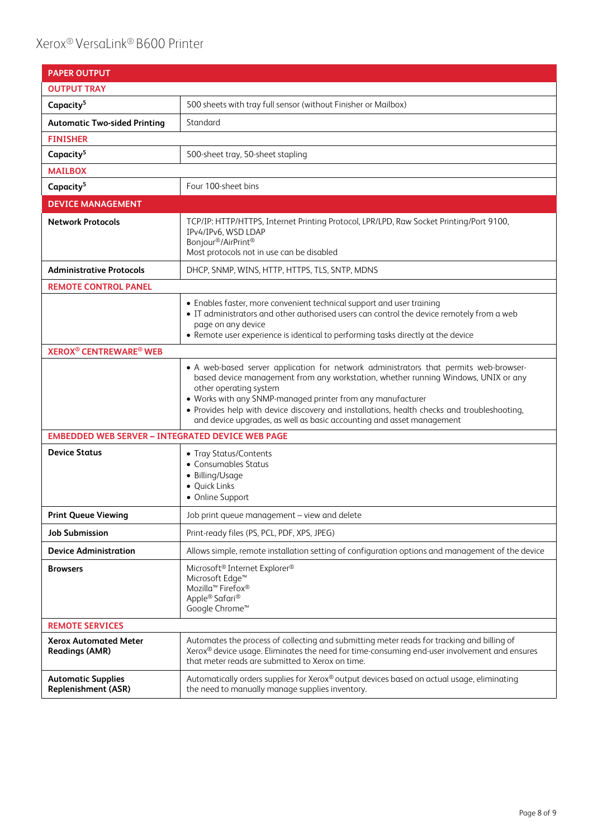| <b>PAPER OUTPUT</b>                                     |                                                                                                                                                                                                                                                                                                                                                                                                                                              |
|---------------------------------------------------------|----------------------------------------------------------------------------------------------------------------------------------------------------------------------------------------------------------------------------------------------------------------------------------------------------------------------------------------------------------------------------------------------------------------------------------------------|
| <b>OUTPUT TRAY</b>                                      |                                                                                                                                                                                                                                                                                                                                                                                                                                              |
| Capacity <sup>5</sup>                                   | 500 sheets with tray full sensor (without Finisher or Mailbox)                                                                                                                                                                                                                                                                                                                                                                               |
| <b>Automatic Two-sided Printing</b>                     | Standard                                                                                                                                                                                                                                                                                                                                                                                                                                     |
| <b>FINISHER</b>                                         |                                                                                                                                                                                                                                                                                                                                                                                                                                              |
| Capacity <sup>5</sup>                                   | 500-sheet tray, 50-sheet stapling                                                                                                                                                                                                                                                                                                                                                                                                            |
| <b>MAILBOX</b>                                          |                                                                                                                                                                                                                                                                                                                                                                                                                                              |
| Capacity <sup>5</sup>                                   | Four 100-sheet bins                                                                                                                                                                                                                                                                                                                                                                                                                          |
| <b>DEVICE MANAGEMENT</b>                                |                                                                                                                                                                                                                                                                                                                                                                                                                                              |
| <b>Network Protocols</b>                                | TCP/IP: HTTP/HTTPS, Internet Printing Protocol, LPR/LPD, Raw Socket Printing/Port 9100,<br>IPv4/IPv6, WSD LDAP<br>Bonjour <sup>®</sup> /AirPrint <sup>®</sup><br>Most protocols not in use can be disabled                                                                                                                                                                                                                                   |
| <b>Administrative Protocols</b>                         | DHCP, SNMP, WINS, HTTP, HTTPS, TLS, SNTP, MDNS                                                                                                                                                                                                                                                                                                                                                                                               |
| <b>REMOTE CONTROL PANEL</b>                             |                                                                                                                                                                                                                                                                                                                                                                                                                                              |
|                                                         | • Enables faster, more convenient technical support and user training<br>• IT administrators and other authorised users can control the device remotely from a web<br>page on any device<br>• Remote user experience is identical to performing tasks directly at the device                                                                                                                                                                 |
| <b>XEROX<sup>®</sup> CENTREWARE<sup>®</sup> WEB</b>     |                                                                                                                                                                                                                                                                                                                                                                                                                                              |
|                                                         | • A web-based server application for network administrators that permits web-browser-<br>based device management from any workstation, whether running Windows, UNIX or any<br>other operating system<br>• Works with any SNMP-managed printer from any manufacturer<br>• Provides help with device discovery and installations, health checks and troubleshooting,<br>and device upgrades, as well as basic accounting and asset management |
| <b>EMBEDDED WEB SERVER - INTEGRATED DEVICE WEB PAGE</b> |                                                                                                                                                                                                                                                                                                                                                                                                                                              |
| <b>Device Status</b>                                    | • Tray Status/Contents<br>• Consumables Status<br>• Billing/Usage<br>· Quick Links<br>• Online Support                                                                                                                                                                                                                                                                                                                                       |
| <b>Print Queue Viewing</b>                              | Job print queue management - view and delete                                                                                                                                                                                                                                                                                                                                                                                                 |
| <b>Job Submission</b>                                   | Print-ready files (PS, PCL, PDF, XPS, JPEG)                                                                                                                                                                                                                                                                                                                                                                                                  |
| <b>Device Administration</b>                            | Allows simple, remote installation setting of configuration options and management of the device                                                                                                                                                                                                                                                                                                                                             |
| <b>Browsers</b>                                         | Microsoft <sup>®</sup> Internet Explorer <sup>®</sup><br>Microsoft Edge <sup>™</sup><br>Mozilla <sup>™</sup> Firefox <sup>®</sup><br>Apple® Safari®<br>Google Chrome <sup>™</sup>                                                                                                                                                                                                                                                            |
| <b>REMOTE SERVICES</b>                                  |                                                                                                                                                                                                                                                                                                                                                                                                                                              |
| <b>Xerox Automated Meter</b><br><b>Readings (AMR)</b>   | Automates the process of collecting and submitting meter reads for tracking and billing of<br>Xerox® device usage. Eliminates the need for time-consuming end-user involvement and ensures<br>that meter reads are submitted to Xerox on time.                                                                                                                                                                                               |
| <b>Automatic Supplies</b><br><b>Replenishment (ASR)</b> | Automatically orders supplies for Xerox® output devices based on actual usage, eliminating<br>the need to manually manage supplies inventory.                                                                                                                                                                                                                                                                                                |